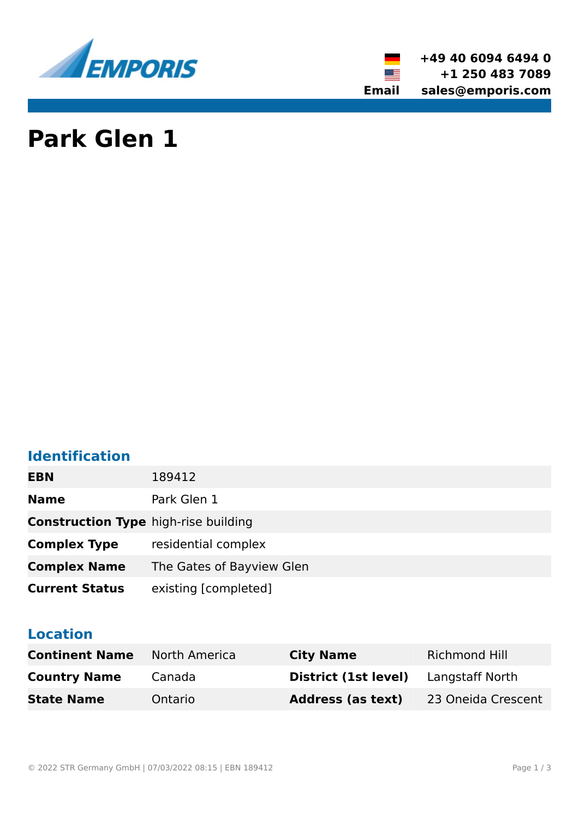

**+49 40 6094 6494 0 +1 250 483 7089 Email sales@emporis.com**

▓▆

# **Park Glen 1**

# **Identification**

| <b>EBN</b>                                  | 189412                    |
|---------------------------------------------|---------------------------|
| <b>Name</b>                                 | Park Glen 1               |
| <b>Construction Type</b> high-rise building |                           |
| <b>Complex Type</b>                         | residential complex       |
| <b>Complex Name</b>                         | The Gates of Bayview Glen |
| <b>Current Status</b>                       | existing [completed]      |

### **Location**

| <b>Continent Name</b> | North America | <b>City Name</b>                            | Richmond Hill      |
|-----------------------|---------------|---------------------------------------------|--------------------|
| <b>Country Name</b>   | Canada        | <b>District (1st level)</b> Langstaff North |                    |
| <b>State Name</b>     | Ontario       | <b>Address (as text)</b>                    | 23 Oneida Crescent |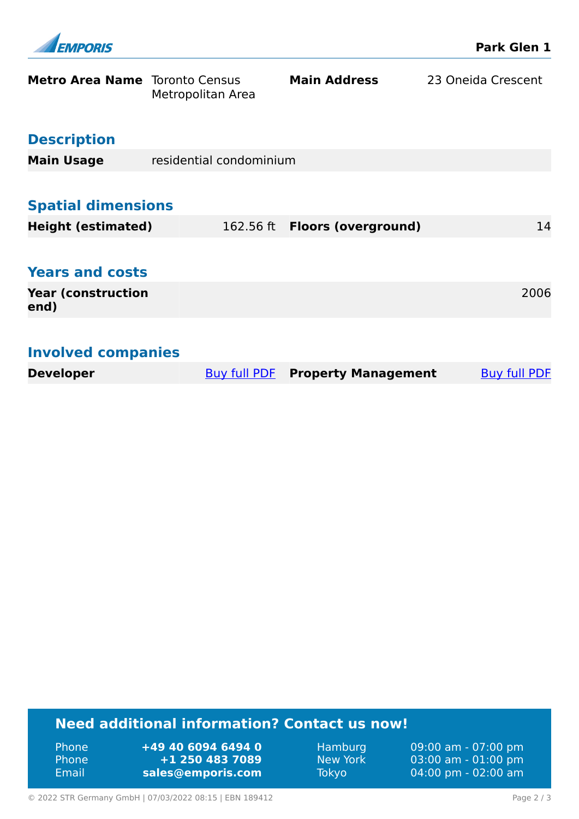| FMPORIS                               |                         |                                | <b>Park Glen 1</b>  |
|---------------------------------------|-------------------------|--------------------------------|---------------------|
| <b>Metro Area Name</b> Toronto Census | Metropolitan Area       | <b>Main Address</b>            | 23 Oneida Crescent  |
| <b>Description</b>                    |                         |                                |                     |
| <b>Main Usage</b>                     | residential condominium |                                |                     |
|                                       |                         |                                |                     |
| <b>Spatial dimensions</b>             |                         |                                |                     |
| <b>Height (estimated)</b>             |                         | 162.56 ft  Floors (overground) | 14                  |
|                                       |                         |                                |                     |
| <b>Years and costs</b>                |                         |                                |                     |
| <b>Year (construction</b><br>end)     |                         |                                | 2006                |
|                                       |                         |                                |                     |
| <b>Involved companies</b>             |                         |                                |                     |
| <b>Developer</b>                      | Buy full PDF            | <b>Property Management</b>     | <b>Buy full PDF</b> |

## **Need additional information? Contact us now!**

| 'Phone       | +49 40 6094 6494 0 |
|--------------|--------------------|
| <b>Phone</b> | +1 250 483 7089    |
| Email        | sales@emporis.com  |

Hamburg 09:00 am - 07:00 pm<br>New York 03:00 am - 01:00 pm New York 03:00 am - 01:00 pm<br>Tokyo 04:00 pm - 02:00 am 04:00 pm - 02:00 am